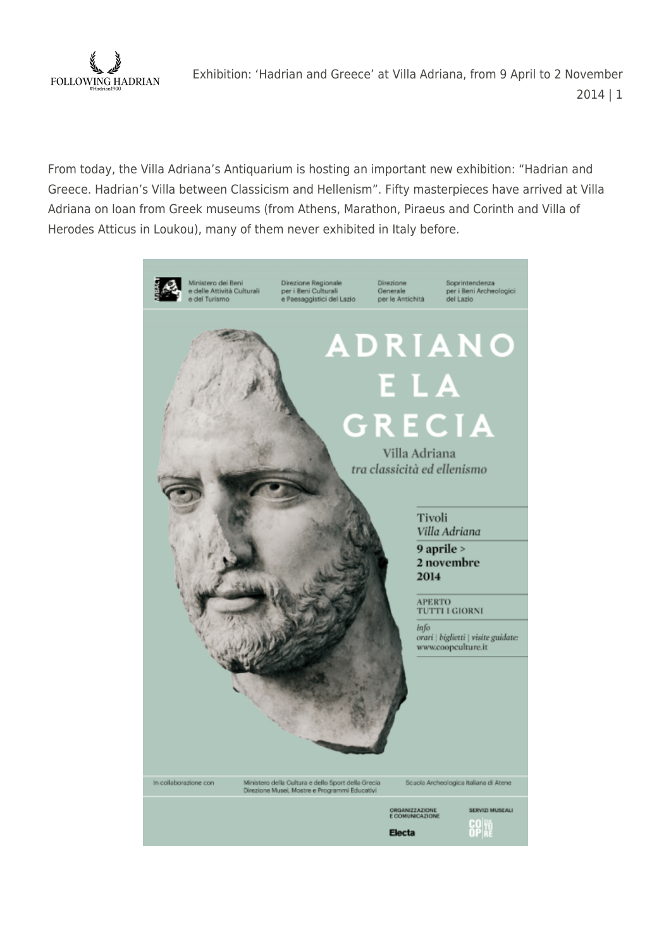

From today, the Villa Adriana's Antiquarium is hosting an important new exhibition: "Hadrian and Greece. Hadrian's Villa between Classicism and Hellenism". Fifty masterpieces have arrived at Villa Adriana on loan from Greek museums (from Athens, Marathon, Piraeus and Corinth and Villa of Herodes Atticus in Loukou), many of them never exhibited in Italy before.

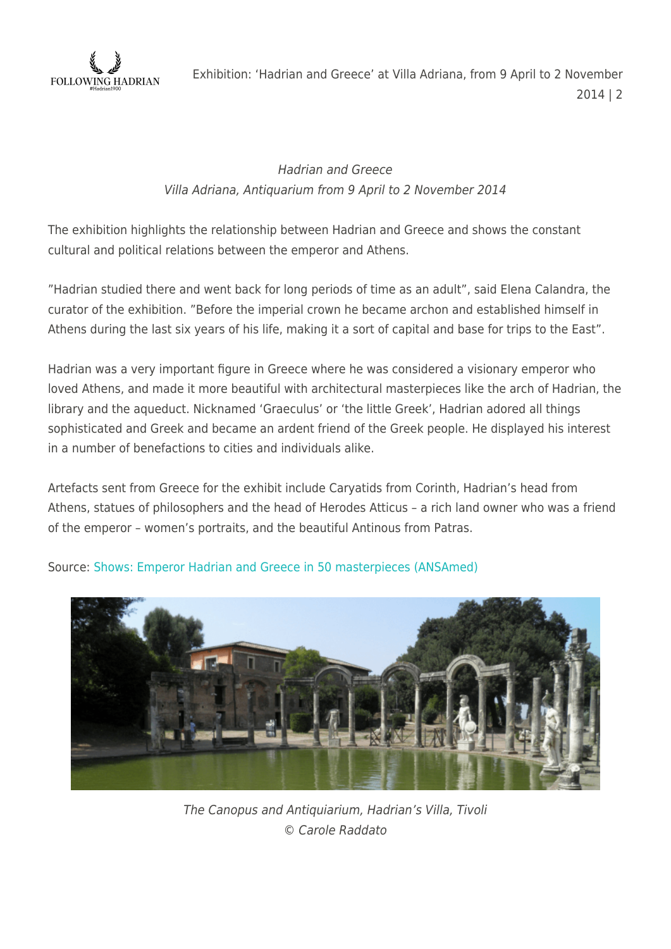

## Hadrian and Greece Villa Adriana, Antiquarium from 9 April to 2 November 2014

The exhibition highlights the relationship between Hadrian and Greece and shows the constant cultural and political relations between the emperor and Athens.

"Hadrian studied there and went back for long periods of time as an adult", said Elena Calandra, the curator of the exhibition. "Before the imperial crown he became archon and established himself in Athens during the last six years of his life, making it a sort of capital and base for trips to the East".

Hadrian was a very important figure in Greece where he was considered a visionary emperor who loved Athens, and made it more beautiful with architectural masterpieces like the arch of Hadrian, the library and the aqueduct. Nicknamed 'Graeculus' or 'the little Greek', Hadrian adored all things sophisticated and Greek and became an ardent friend of the Greek people. He displayed his interest in a number of benefactions to cities and individuals alike.

Artefacts sent from Greece for the exhibit include Caryatids from Corinth, Hadrian's head from Athens, statues of philosophers and the head of Herodes Atticus – a rich land owner who was a friend of the emperor – women's portraits, and the beautiful Antinous from Patras.



Source: [Shows: Emperor Hadrian and Greece in 50 masterpieces \(ANSAmed\)](http://www.ansamed.info/ansamed/en/news/sections/culture/2014/04/08/shows-emperor-hadrian-and-greece-in-50-masterpieces_2526fac6-d11b-439c-94cc-abfe66591875.html)

The Canopus and Antiquiarium, Hadrian's Villa, Tivoli © Carole Raddato